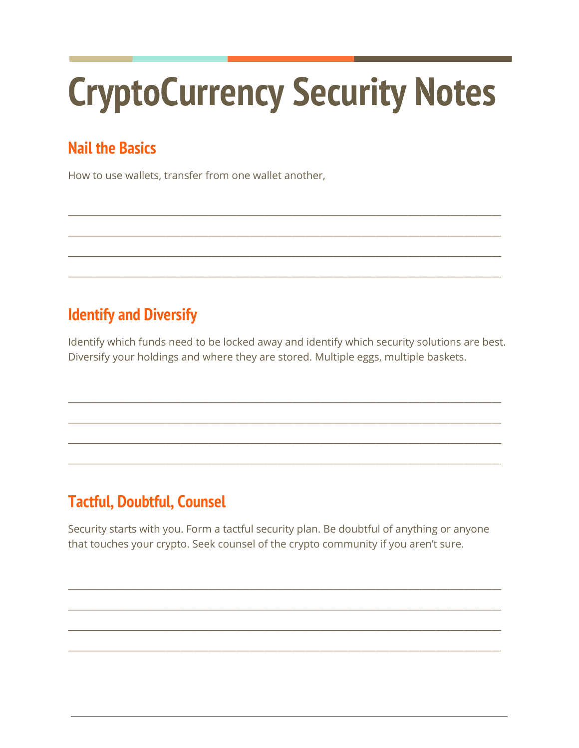# **CryptoCurrency Security Notes**

## **Nail the Basics**

How to use wallets, transfer from one wallet another,

#### **Identify and Diversify**

Identify which funds need to be locked away and identify which security solutions are best. Diversify your holdings and where they are stored. Multiple eggs, multiple baskets.

### **Tactful, Doubtful, Counsel**

Security starts with you. Form a tactful security plan. Be doubtful of anything or anyone that touches your crypto. Seek counsel of the crypto community if you aren't sure.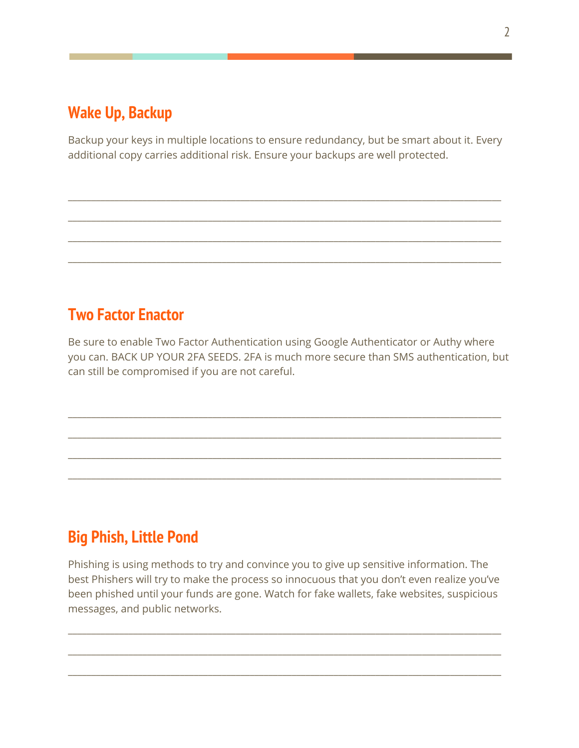#### **Wake Up, Backup**

Backup your keys in multiple locations to ensure redundancy, but be smart about it. Every additional copy carries additional risk. Ensure your backups are well protected.

\_\_\_\_\_\_\_\_\_\_\_\_\_\_\_\_\_\_\_\_\_\_\_\_\_\_\_\_\_\_\_\_\_\_\_\_\_\_\_\_\_\_\_\_\_\_\_\_\_\_\_\_\_\_\_\_\_\_\_\_\_\_\_\_\_\_\_\_\_\_\_\_\_\_\_\_\_\_\_\_\_\_\_\_\_\_\_\_\_\_\_\_\_

\_\_\_\_\_\_\_\_\_\_\_\_\_\_\_\_\_\_\_\_\_\_\_\_\_\_\_\_\_\_\_\_\_\_\_\_\_\_\_\_\_\_\_\_\_\_\_\_\_\_\_\_\_\_\_\_\_\_\_\_\_\_\_\_\_\_\_\_\_\_\_\_\_\_\_\_\_\_\_\_\_\_\_\_\_\_\_\_\_\_\_\_\_

\_\_\_\_\_\_\_\_\_\_\_\_\_\_\_\_\_\_\_\_\_\_\_\_\_\_\_\_\_\_\_\_\_\_\_\_\_\_\_\_\_\_\_\_\_\_\_\_\_\_\_\_\_\_\_\_\_\_\_\_\_\_\_\_\_\_\_\_\_\_\_\_\_\_\_\_\_\_\_\_\_\_\_\_\_\_\_\_\_\_\_\_\_

\_\_\_\_\_\_\_\_\_\_\_\_\_\_\_\_\_\_\_\_\_\_\_\_\_\_\_\_\_\_\_\_\_\_\_\_\_\_\_\_\_\_\_\_\_\_\_\_\_\_\_\_\_\_\_\_\_\_\_\_\_\_\_\_\_\_\_\_\_\_\_\_\_\_\_\_\_\_\_\_\_\_\_\_\_\_\_\_\_\_\_\_\_

#### **Two Factor Enactor**

Be sure to enable Two Factor Authentication using Google Authenticator or Authy where you can. BACK UP YOUR 2FA SEEDS. 2FA is much more secure than SMS authentication, but can still be compromised if you are not careful.

\_\_\_\_\_\_\_\_\_\_\_\_\_\_\_\_\_\_\_\_\_\_\_\_\_\_\_\_\_\_\_\_\_\_\_\_\_\_\_\_\_\_\_\_\_\_\_\_\_\_\_\_\_\_\_\_\_\_\_\_\_\_\_\_\_\_\_\_\_\_\_\_\_\_\_\_\_\_\_\_\_\_\_\_\_\_\_\_\_\_\_\_\_

\_\_\_\_\_\_\_\_\_\_\_\_\_\_\_\_\_\_\_\_\_\_\_\_\_\_\_\_\_\_\_\_\_\_\_\_\_\_\_\_\_\_\_\_\_\_\_\_\_\_\_\_\_\_\_\_\_\_\_\_\_\_\_\_\_\_\_\_\_\_\_\_\_\_\_\_\_\_\_\_\_\_\_\_\_\_\_\_\_\_\_\_\_

\_\_\_\_\_\_\_\_\_\_\_\_\_\_\_\_\_\_\_\_\_\_\_\_\_\_\_\_\_\_\_\_\_\_\_\_\_\_\_\_\_\_\_\_\_\_\_\_\_\_\_\_\_\_\_\_\_\_\_\_\_\_\_\_\_\_\_\_\_\_\_\_\_\_\_\_\_\_\_\_\_\_\_\_\_\_\_\_\_\_\_\_\_

\_\_\_\_\_\_\_\_\_\_\_\_\_\_\_\_\_\_\_\_\_\_\_\_\_\_\_\_\_\_\_\_\_\_\_\_\_\_\_\_\_\_\_\_\_\_\_\_\_\_\_\_\_\_\_\_\_\_\_\_\_\_\_\_\_\_\_\_\_\_\_\_\_\_\_\_\_\_\_\_\_\_\_\_\_\_\_\_\_\_\_\_\_

#### **Big Phish, Little Pond**

Phishing is using methods to try and convince you to give up sensitive information. The best Phishers will try to make the process so innocuous that you don't even realize you've been phished until your funds are gone. Watch for fake wallets, fake websites, suspicious messages, and public networks.

\_\_\_\_\_\_\_\_\_\_\_\_\_\_\_\_\_\_\_\_\_\_\_\_\_\_\_\_\_\_\_\_\_\_\_\_\_\_\_\_\_\_\_\_\_\_\_\_\_\_\_\_\_\_\_\_\_\_\_\_\_\_\_\_\_\_\_\_\_\_\_\_\_\_\_\_\_\_\_\_\_\_\_\_\_\_\_\_\_\_\_\_\_

\_\_\_\_\_\_\_\_\_\_\_\_\_\_\_\_\_\_\_\_\_\_\_\_\_\_\_\_\_\_\_\_\_\_\_\_\_\_\_\_\_\_\_\_\_\_\_\_\_\_\_\_\_\_\_\_\_\_\_\_\_\_\_\_\_\_\_\_\_\_\_\_\_\_\_\_\_\_\_\_\_\_\_\_\_\_\_\_\_\_\_\_\_

\_\_\_\_\_\_\_\_\_\_\_\_\_\_\_\_\_\_\_\_\_\_\_\_\_\_\_\_\_\_\_\_\_\_\_\_\_\_\_\_\_\_\_\_\_\_\_\_\_\_\_\_\_\_\_\_\_\_\_\_\_\_\_\_\_\_\_\_\_\_\_\_\_\_\_\_\_\_\_\_\_\_\_\_\_\_\_\_\_\_\_\_\_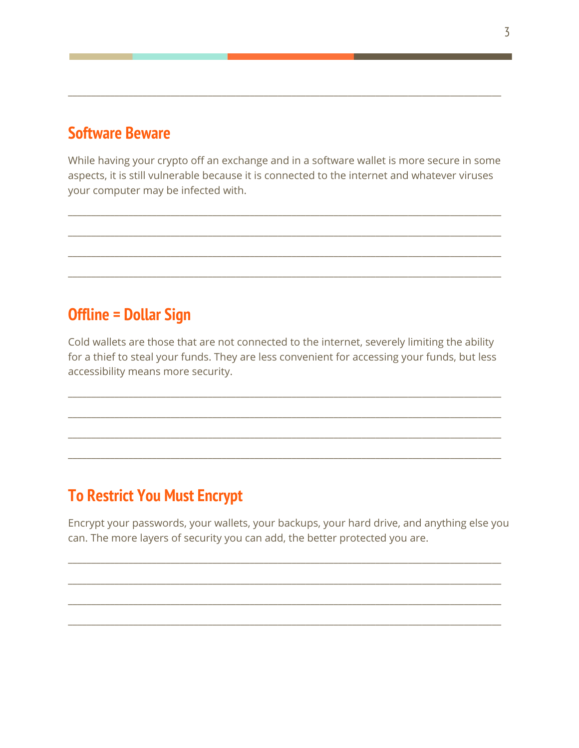#### **Software Beware**

While having your crypto off an exchange and in a software wallet is more secure in some aspects, it is still vulnerable because it is connected to the internet and whatever viruses your computer may be infected with.

\_\_\_\_\_\_\_\_\_\_\_\_\_\_\_\_\_\_\_\_\_\_\_\_\_\_\_\_\_\_\_\_\_\_\_\_\_\_\_\_\_\_\_\_\_\_\_\_\_\_\_\_\_\_\_\_\_\_\_\_\_\_\_\_\_\_\_\_\_\_\_\_\_\_\_\_\_\_\_\_\_\_\_\_\_\_\_\_\_\_\_\_\_

\_\_\_\_\_\_\_\_\_\_\_\_\_\_\_\_\_\_\_\_\_\_\_\_\_\_\_\_\_\_\_\_\_\_\_\_\_\_\_\_\_\_\_\_\_\_\_\_\_\_\_\_\_\_\_\_\_\_\_\_\_\_\_\_\_\_\_\_\_\_\_\_\_\_\_\_\_\_\_\_\_\_\_\_\_\_\_\_\_\_\_\_\_

\_\_\_\_\_\_\_\_\_\_\_\_\_\_\_\_\_\_\_\_\_\_\_\_\_\_\_\_\_\_\_\_\_\_\_\_\_\_\_\_\_\_\_\_\_\_\_\_\_\_\_\_\_\_\_\_\_\_\_\_\_\_\_\_\_\_\_\_\_\_\_\_\_\_\_\_\_\_\_\_\_\_\_\_\_\_\_\_\_\_\_\_\_

\_\_\_\_\_\_\_\_\_\_\_\_\_\_\_\_\_\_\_\_\_\_\_\_\_\_\_\_\_\_\_\_\_\_\_\_\_\_\_\_\_\_\_\_\_\_\_\_\_\_\_\_\_\_\_\_\_\_\_\_\_\_\_\_\_\_\_\_\_\_\_\_\_\_\_\_\_\_\_\_\_\_\_\_\_\_\_\_\_\_\_\_\_

\_\_\_\_\_\_\_\_\_\_\_\_\_\_\_\_\_\_\_\_\_\_\_\_\_\_\_\_\_\_\_\_\_\_\_\_\_\_\_\_\_\_\_\_\_\_\_\_\_\_\_\_\_\_\_\_\_\_\_\_\_\_\_\_\_\_\_\_\_\_\_\_\_\_\_\_\_\_\_\_\_\_\_\_\_\_\_\_\_\_\_\_\_

#### **Offline = Dollar Sign**

Cold wallets are those that are not connected to the internet, severely limiting the ability for a thief to steal your funds. They are less convenient for accessing your funds, but less accessibility means more security.

\_\_\_\_\_\_\_\_\_\_\_\_\_\_\_\_\_\_\_\_\_\_\_\_\_\_\_\_\_\_\_\_\_\_\_\_\_\_\_\_\_\_\_\_\_\_\_\_\_\_\_\_\_\_\_\_\_\_\_\_\_\_\_\_\_\_\_\_\_\_\_\_\_\_\_\_\_\_\_\_\_\_\_\_\_\_\_\_\_\_\_\_\_

\_\_\_\_\_\_\_\_\_\_\_\_\_\_\_\_\_\_\_\_\_\_\_\_\_\_\_\_\_\_\_\_\_\_\_\_\_\_\_\_\_\_\_\_\_\_\_\_\_\_\_\_\_\_\_\_\_\_\_\_\_\_\_\_\_\_\_\_\_\_\_\_\_\_\_\_\_\_\_\_\_\_\_\_\_\_\_\_\_\_\_\_\_

\_\_\_\_\_\_\_\_\_\_\_\_\_\_\_\_\_\_\_\_\_\_\_\_\_\_\_\_\_\_\_\_\_\_\_\_\_\_\_\_\_\_\_\_\_\_\_\_\_\_\_\_\_\_\_\_\_\_\_\_\_\_\_\_\_\_\_\_\_\_\_\_\_\_\_\_\_\_\_\_\_\_\_\_\_\_\_\_\_\_\_\_\_

\_\_\_\_\_\_\_\_\_\_\_\_\_\_\_\_\_\_\_\_\_\_\_\_\_\_\_\_\_\_\_\_\_\_\_\_\_\_\_\_\_\_\_\_\_\_\_\_\_\_\_\_\_\_\_\_\_\_\_\_\_\_\_\_\_\_\_\_\_\_\_\_\_\_\_\_\_\_\_\_\_\_\_\_\_\_\_\_\_\_\_\_\_

#### **To Restrict You Must Encrypt**

Encrypt your passwords, your wallets, your backups, your hard drive, and anything else you can. The more layers of security you can add, the better protected you are.

\_\_\_\_\_\_\_\_\_\_\_\_\_\_\_\_\_\_\_\_\_\_\_\_\_\_\_\_\_\_\_\_\_\_\_\_\_\_\_\_\_\_\_\_\_\_\_\_\_\_\_\_\_\_\_\_\_\_\_\_\_\_\_\_\_\_\_\_\_\_\_\_\_\_\_\_\_\_\_\_\_\_\_\_\_\_\_\_\_\_\_\_\_

\_\_\_\_\_\_\_\_\_\_\_\_\_\_\_\_\_\_\_\_\_\_\_\_\_\_\_\_\_\_\_\_\_\_\_\_\_\_\_\_\_\_\_\_\_\_\_\_\_\_\_\_\_\_\_\_\_\_\_\_\_\_\_\_\_\_\_\_\_\_\_\_\_\_\_\_\_\_\_\_\_\_\_\_\_\_\_\_\_\_\_\_\_

\_\_\_\_\_\_\_\_\_\_\_\_\_\_\_\_\_\_\_\_\_\_\_\_\_\_\_\_\_\_\_\_\_\_\_\_\_\_\_\_\_\_\_\_\_\_\_\_\_\_\_\_\_\_\_\_\_\_\_\_\_\_\_\_\_\_\_\_\_\_\_\_\_\_\_\_\_\_\_\_\_\_\_\_\_\_\_\_\_\_\_\_\_

\_\_\_\_\_\_\_\_\_\_\_\_\_\_\_\_\_\_\_\_\_\_\_\_\_\_\_\_\_\_\_\_\_\_\_\_\_\_\_\_\_\_\_\_\_\_\_\_\_\_\_\_\_\_\_\_\_\_\_\_\_\_\_\_\_\_\_\_\_\_\_\_\_\_\_\_\_\_\_\_\_\_\_\_\_\_\_\_\_\_\_\_\_